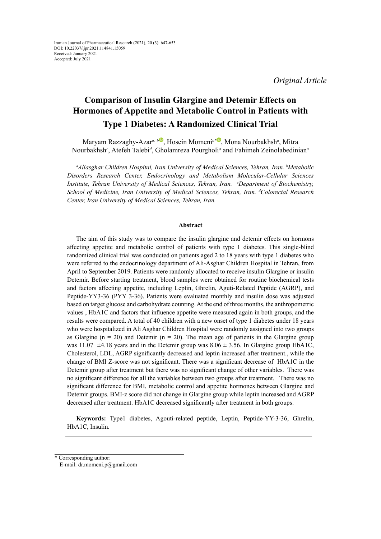*Original Article*

# **Comparison of Insulin Glargine and Detemir Effects on Hormones of Appetite and Metabolic Control in Patients with Type 1 Diabetes: A Randomized Clinical Trial**

Maryam [Razzaghy-Azar](https://www.scopus.com/author/submit/profile.uri?authorId=15043715200&origin=AuthorNamesList&offset=1&authorSt1=razaghi&authorSt2=maryam&resultsKey=AUTH_1167517475)<sup>a, [b](https://orcid.org/0000-0002-0061-6732)o</sup>, Hosein Momeni<sup>a[\\*](https://orcid.org/0000-0003-0636-2080)</sup> , Mona Nourbakhsh<sup>a</sup>, Mitra Nourbakhsh*<sup>c</sup>* , Atefeh Talebi*<sup>d</sup>* , Gholamreza Pourgholi*<sup>a</sup>* and Fahimeh Zeinolabedinian*<sup>a</sup>*

*a Aliasghar Children Hospital, Iran University of Medical Sciences, Tehran, Iran. <sup>b</sup> Metabolic Disorders Research Center, Endocrinology and Metabolism Molecular-Cellular Sciences Institute, Tehran University of Medical Sciences, Tehran, Iran. 
<sup>c</sup>Department of Biochemistry, School of Medicine, Iran University of Medical Sciences, Tehran, Iran. d Colorectal Research Center, Iran University of Medical Sciences, Tehran, Iran.*

## **Abstract**

The aim of this study was to compare the insulin glargine and detemir effects on hormons affecting appetite and metabolic control of patients with type 1 diabetes. This single-blind randomized clinical trial was conducted on patients aged 2 to 18 years with type 1 diabetes who were referred to the endocrinology department of Ali-Asghar Children Hospital in Tehran, from April to September 2019. Patients were randomly allocated to receive insulin Glargine or insulin Detemir. Before starting treatment, blood samples were obtained for routine biochemical tests and factors affecting appetite, including Leptin, Ghrelin, Aguti-Related Peptide (AGRP), and Peptide-YY3-36 (PYY 3-36). Patients were evaluated monthly and insulin dose was adjusted based on target glucose and carbohydrate counting. At the end of three months, the anthropometric values , HbA1C and factors that influence appetite were measured again in both groups, and the results were compared. A total of 40 children with a new onset of type 1 diabetes under 18 years who were hospitalized in Ali Asghar Children Hospital were randomly assigned into two groups as Glargine ( $n = 20$ ) and Detemir ( $n = 20$ ). The mean age of patients in the Glargine group was 11.07  $\pm$ 4.18 years and in the Detemir group was 8.06  $\pm$  3.56. In Glargine group HbA1C, Cholesterol, LDL, AGRP significantly decreased and leptin increased after treatment., while the change of BMI Z-score was not significant. There was a significant decrease of HbA1C in the Detemir group after treatment but there was no significant change of other variables. There was no significant difference for all the variables between two groups after treatment. There was no significant difference for BMI, metabolic control and appetite hormones between Glargine and Detemir groups. BMI-z score did not change in Glargine group while leptin increased and AGRP decreased after treatment. HbA1C decreased significantly after treatment in both groups.

**Keywords:** Type1 diabetes, Agouti-related peptide, Leptin, Peptide-YY-3-36, Ghrelin, HbA1C, Insulin.

<sup>\*</sup> Corresponding author:

E-mail: dr.momeni.p@gmail.com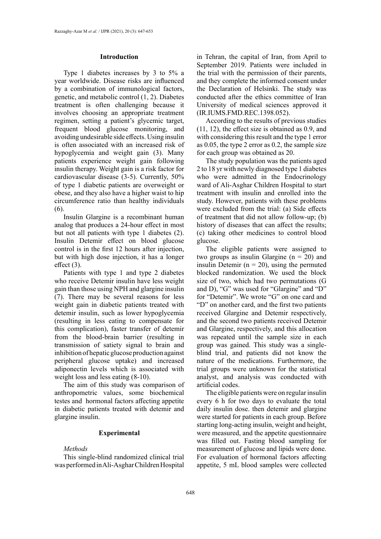## **Introduction**

Type 1 diabetes increases by 3 to 5% a year worldwide. Disease risks are influenced by a combination of immunological factors, genetic, and metabolic control (1, 2). Diabetes treatment is often challenging because it involves choosing an appropriate treatment regimen, setting a patient's glycemic target, frequent blood glucose monitoring, and avoiding undesirable side effects. Using insulin is often associated with an increased risk of hypoglycemia and weight gain (3). Many patients experience weight gain following insulin therapy. Weight gain is a risk factor for cardiovascular disease (3-5). Currently, 50% of type 1 diabetic patients are overweight or obese, and they also have a higher waist to hip circumference ratio than healthy individuals (6).

Insulin Glargine is a recombinant human analog that produces a 24-hour effect in most but not all patients with type 1 diabetes (2). Insulin Detemir effect on blood glucose control is in the first 12 hours after injection, but with high dose injection, it has a longer effect  $(3)$ .

Patients with type 1 and type 2 diabetes who receive Detemir insulin have less weight gain than those using NPH and glargine insulin (7). There may be several reasons for less weight gain in diabetic patients treated with detemir insulin, such as lower hypoglycemia (resulting in less eating to compensate for this complication), faster transfer of detemir from the blood-brain barrier (resulting in transmission of satiety signal to brain and inhibition of hepatic glucose production against peripheral glucose uptake) and increased adiponectin levels which is associated with weight loss and less eating (8-10).

The aim of this study was comparison of anthropometric values, some biochemical testes and hormonal factors affecting appetite in diabetic patients treated with detemir and glargine insulin.

## **Experimental**

#### *Methods*

This single-blind randomized clinical trial was performed in Ali-Asghar Children Hospital in Tehran, the capital of Iran, from April to September 2019. Patients were included in the trial with the permission of their parents, and they complete the informed consent under the Declaration of Helsinki. The study was conducted after the ethics committee of Iran University of medical sciences approved it (IR.IUMS.FMD.REC.1398.052).

According to the results of previous studies (11, 12), the effect size is obtained as 0.9, and with considering this result and the type 1 error as 0.05, the type 2 error as 0.2, the sample size for each group was obtained as 20.

The study population was the patients aged 2 to 18 yr with newly diagnosed type 1 diabetes who were admitted in the Endocrinology ward of Ali-Asghar Children Hospital to start treatment with insulin and enrolled into the study. However, patients with these problems were excluded from the trial: (a) Side effects of treatment that did not allow follow-up; (b) history of diseases that can affect the results; (c) taking other medicines to control blood glucose.

The eligible patients were assigned to two groups as insulin Glargine  $(n = 20)$  and insulin Detemir ( $n = 20$ ), using the permuted blocked randomization. We used the block size of two, which had two permutations (G and D), "G" was used for "Glargine" and "D" for "Detemir". We wrote "G" on one card and "D" on another card, and the first two patients received Glargine and Detemir respectively, and the second two patients received Detemir and Glargine, respectively, and this allocation was repeated until the sample size in each group was gained. This study was a singleblind trial, and patients did not know the nature of the medications. Furthermore, the trial groups were unknown for the statistical analyst, and analysis was conducted with artificial codes.

The eligible patients were on regular insulin every 6 h for two days to evaluate the total daily insulin dose. then detemir and glargine were started for patients in each group. Before starting long-acting insulin, weight and height, were measured, and the appetite questionnaire was filled out. Fasting blood sampling for measurement of glucose and lipids were done. For evaluation of hormonal factors affecting appetite, 5 mL blood samples were collected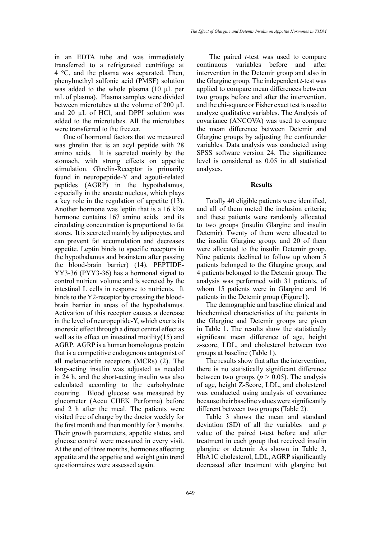in an EDTA tube and was immediately transferred to a refrigerated centrifuge at 4 °C, and the plasma was separated. Then, phenylmethyl sulfonic acid (PMSF) solution was added to the whole plasma (10 µL per mL of plasma). Plasma samples were divided between microtubes at the volume of 200 µL and 20 µL of HCl, and DPPI solution was added to the microtubes. All the microtubes were transferred to the freezer.

One of hormonal factors that we measured was ghrelin that is an acyl peptide with 28 amino acids. It is secreted mainly by the stomach, with strong effects on appetite stimulation. Ghrelin-Receptor is primarily found in neuropeptide-Y and agouti-related peptides (AGRP) in the hypothalamus, especially in the arcuate nucleus, which plays a key role in the regulation of appetite (13). Another hormone was leptin that is a 16 kDa hormone contains 167 amino acids and its circulating concentration is proportional to fat stores. It is secreted mainly by adipocytes, and can prevent fat accumulation and decreases appetite. Leptin binds to specific receptors in the hypothalamus and brainstem after passing the blood-brain barrier) (14), PEPTIDE-YY3-36 (PYY3-36) has a hormonal signal to control nutrient volume and is secreted by the intestinal L cells in response to nutrients. It binds to the Y2-receptor by crossing the bloodbrain barrier in areas of the hypothalamus. Activation of this receptor causes a decrease in the level of neuropeptide-Y, which exerts its anorexic effect through a direct central effect as well as its effect on intestinal motility(15) and AGRP. AGRP is a human homologous protein that is a competitive endogenous antagonist of all melanocortin receptors (MCRs) (2). The long-acting insulin was adjusted as needed in 24 h, and the short-acting insulin was also calculated according to the carbohydrate counting. Blood glucose was measured by glucometer (Accu CHEK Performa) before and 2 h after the meal. The patients were visited free of charge by the doctor weekly for the first month and then monthly for 3 months. Their growth parameters, appetite status, and glucose control were measured in every visit. At the end of three months, hormones affecting appetite and the appetite and weight gain trend questionnaires were assessed again.

 The paired *t*-test was used to compare continuous variables before and after intervention in the Detemir group and also in the Glargine group. The independent *t*-test was applied to compare mean differences between two groups before and after the intervention, and the chi-square or Fisher exact test is used to analyze qualitative variables. The Analysis of covariance (ANCOVA) was used to compare the mean difference between Detemir and Glargine groups by adjusting the confounder variables. Data analysis was conducted using SPSS software version 24. The significance level is considered as 0.05 in all statistical analyses.

## **Results**

Totally 40 eligible patients were identified, and all of them meted the inclusion criteria; and these patients were randomly allocated to two groups (insulin Glargine and insulin Detemir). Twenty of them were allocated to the insulin Glargine group, and 20 of them were allocated to the insulin Detemir group. Nine patients declined to follow up whom 5 patients belonged to the Glargine group, and 4 patients belonged to the Detemir group. The analysis was performed with 31 patients, of whom 15 patients were in Glargine and 16 patients in the Detemir group (Figure1).

The demographic and baseline clinical and biochemical characteristics of the patients in the Glargine and Detemir groups are given in Table 1. The results show the statistically significant mean difference of age, height z-score, LDL, and cholesterol between two groups at baseline (Table 1).

The results show that after the intervention, there is no statistically significant difference between two groups ( $p > 0.05$ ). The analysis of age, height Z-Score, LDL, and cholesterol was conducted using analysis of covariance because their baseline values were significantly different between two groups (Table 2).

Table 3 shows the mean and standard deviation (SD) of all the variables and *p* value of the paired t-test before and after treatment in each group that received insulin glargine or detemir. As shown in Table 3, HbA1C cholesterol, LDL, AGRP significantly decreased after treatment with glargine but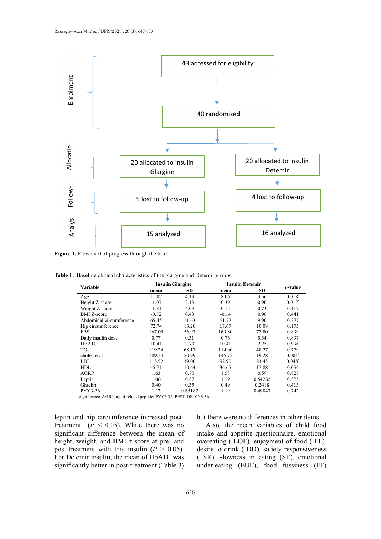

**Figure 1.** Flowchart of progress through the trial.

|  |  | <b>Table 1.</b> Baseline clinical characteristics of the glargine and Detemir groups. |
|--|--|---------------------------------------------------------------------------------------|

| Variable                |         | <b>Insulin Glargine</b> |         | <b>Insulin Detemir</b> |                 |  |
|-------------------------|---------|-------------------------|---------|------------------------|-----------------|--|
|                         | mean    | SD.                     | mean    | SD                     | <i>p</i> -value |  |
| Age                     | 11.07   | 4.19                    | 8.06    | 3.56                   | $0.018*$        |  |
| Height Z-score          | $-1.07$ | 2.19                    | 0.39    | 0.90                   | $0.017^*$       |  |
| Weight Z-score          | $-1.84$ | 4.09                    | 0.12    | 0.73                   | 0.117           |  |
| <b>BMI</b> Z-score      | $-0.82$ | 0.43                    | $-0.14$ | 0.96                   | 0.441           |  |
| Abdominal circumference | 65.45   | 11.63                   | 61.72   | 9.90                   | 0.277           |  |
| Hip circumference       | 72.74   | 13.20                   | 67.67   | 10.08                  | 0.175           |  |
| <b>FBS</b>              | 167.09  | 56.97                   | 169.80  | 77.00                  | 0.899           |  |
| Daily insulin dose      | 0.77    | 0.31                    | 0.76    | 0.34                   | 0.897           |  |
| HBA1C                   | 10.41   | 2.73                    | 10.41   | 2.25                   | 0.996           |  |
| TG                      | 119.24  | 68.17                   | 114.00  | 48.27                  | 0.779           |  |
| cholesterol             | 189.14  | 50.99                   | 146.75  | 19.28                  | $0.001*$        |  |
| LDL                     | 113.52  | 39.00                   | 92.90   | 23.43                  | $0.048*$        |  |
| <b>HDL</b>              | 45.71   | 10.64                   | 36.65   | 17.88                  | 0.054           |  |
| <b>AGRP</b>             | 1.63    | 0.70                    | 1.58    | 0.59                   | 0.827           |  |
| Leptin                  | 1.06    | 0.57                    | 1.19    | 0.54282                | 0.525           |  |
| Ghrelin                 | 0.40    | 0.35                    | 0.49    | 0.2418                 | 0.413           |  |
| PYY3-36                 | 1.12    | 0.65187                 | 1.19    | 0.49843                | 0.742           |  |

leptin and hip circumference increased posttreatment  $(P < 0.05)$ . While there was no significant difference between the mean of height, weight, and BMI z-score at pre- and post-treatment with this insulin  $(P > 0.05)$ . For Detemir insulin, the mean of HbA1C was significantly better in post-treatment (Table 3) but there were no differences in other items.

Also, the mean variables of child food intake and appetite questionnaire, emotional overeating ( EOE), enjoyment of food ( EF), desire to drink ( DD), satiety responsiveness ( SR), slowness in eating (SE), emotional under-eating (EUE), food fussiness (FF)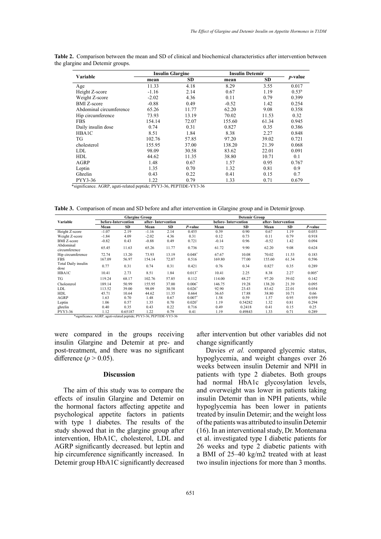| Variable                | <b>Insulin Glargine</b> |           | <b>Insulin Detemir</b> |           |                 |  |
|-------------------------|-------------------------|-----------|------------------------|-----------|-----------------|--|
|                         | mean                    | <b>SD</b> | mean                   | <b>SD</b> | <i>p</i> -value |  |
| Age                     | 11.33                   | 4.18      | 8.29                   | 3.55      | 0.017           |  |
| Height Z-score          | $-1.16$                 | 2.14      | 0.67                   | 1.19      | $0.53^{b}$      |  |
| Weight Z-score          | $-2.02$                 | 4.36      | 0.11                   | 0.79      | 0.399           |  |
| <b>BMI</b> Z-score      | $-0.88$                 | 0.49      | $-0.52$                | 1.42      | 0.254           |  |
| Abdominal circumference | 65.26                   | 11.77     | 62.20                  | 9.08      | 0.358           |  |
| Hip circumference       | 73.93                   | 13.19     | 70.02                  | 11.53     | 0.32            |  |
| <b>FBS</b>              | 154.14                  | 72.07     | 155.60                 | 61.34     | 0.945           |  |
| Daily insulin dose      | 0.74                    | 0.31      | 0.827                  | 0.35      | 0.386           |  |
| HBA1C                   | 8.51                    | 1.84      | 8.38                   | 2.27      | 0.848           |  |
| TG                      | 102.76                  | 57.85     | 97.20                  | 39.02     | 0.721           |  |
| cholesterol             | 155.95                  | 37.00     | 138.20                 | 21.39     | 0.068           |  |
| <b>LDL</b>              | 98.09                   | 30.58     | 83.62                  | 22.01     | 0.091           |  |
| <b>HDL</b>              | 44.62                   | 11.35     | 38.80                  | 10.71     | 0.1             |  |
| <b>AGRP</b>             | 1.48                    | 0.67      | 1.57                   | 0.95      | 0.767           |  |
| Leptin                  | 1.35                    | 0.70      | 1.32                   | 0.81      | 0.9             |  |
| Ghrelin                 | 0.43                    | 0.22      | 0.41                   | 0.15      | 0.7             |  |
| PYY3-36                 | 1.22                    | 0.79      | 1.33                   | 0.71      | 0.679           |  |

Table 2. Comparison between the mean and SD of clinical and biochemical characteristics after intervention between the glargine and Detemir groups.

\*significance. AGRP, aguti-related peptide; PYY3-36, PEPTIDE-YY3-36

Table 3. Comparison of mean and SD before and after intervention in Glargine group and in Detemir group.

|                             | <b>Glargine Group</b> |           |                    |           | <b>Detemir Group</b> |                     |           |                    |           |          |
|-----------------------------|-----------------------|-----------|--------------------|-----------|----------------------|---------------------|-----------|--------------------|-----------|----------|
| Variable                    | before-Intervention   |           | after-Intervention |           |                      | before-Intervention |           | after-Intervention |           |          |
|                             | Mean                  | <b>SD</b> | Mean               | <b>SD</b> | P-value              | Mean                | <b>SD</b> | Mean               | <b>SD</b> | P-value  |
| Height Z-score              | $-1.07$               | 2.19      | $-1.16$            | 2.14      | 0.455                | 0.39                | 0.90      | 0.67               | 1.19      | 0.053    |
| Weight Z-score              | $-1.84$               | 4.09      | $-2.02$            | 4.36      | 0.31                 | 0.12                | 0.73      | 0.11               | 0.79      | 0.918    |
| <b>BMI</b> Z-score          | $-0.82$               | 0.43      | $-0.88$            | 0.49      | 0.721                | $-0.14$             | 0.96      | $-0.52$            | 1.42      | 0.094    |
| Abdominal<br>circumference  | 65.45                 | 11.63     | 65.26              | 11.77     | 0.736                | 61.72               | 9.90      | 62.20              | 9.08      | 0.624    |
| Hip circumference           | 72.74                 | 13.20     | 73.93              | 13.19     | $0.048*$             | 67.67               | 10.08     | 70.02              | 11.53     | 0.183    |
| <b>FBS</b>                  | 167.09                | 56.97     | 154.14             | 72.07     | 0.516                | 169.80              | 77.00     | 155.60             | 61.34     | 0.596    |
| Total Daily insulin<br>dose | 0.77                  | 0.31      | 0.74               | 0.31      | 0.421                | 0.76                | 0.34      | 0.827              | 0.35      | 0.289    |
| <b>HBA1C</b>                | 10.41                 | 2.73      | 8.51               | 1.84      | $0.013*$             | 10.41               | 2.25      | 8.38               | 2.27      | $0.005*$ |
| TG                          | 119.24                | 68.17     | 102.76             | 57.85     | 0.112                | 114.00              | 48.27     | 97.20              | 39.02     | 0.142    |
| Cholesterol                 | 189.14                | 50.99     | 155.95             | 37.00     | $0.006*$             | 146.75              | 19.28     | 138.20             | 21.39     | 0.095    |
| LDL                         | 113.52                | 39.00     | 98.09              | 30.58     | $0.026^*$            | 92.90               | 23.43     | 83.62              | 22.01     | 0.054    |
| <b>HDL</b>                  | 45.71                 | 10.64     | 44.62              | 11.35     | 0.664                | 36.65               | 17.88     | 38.80              | 10.71     | 0.66     |
| AGRP                        | 1.63                  | 0.70      | 1.48               | 0.67      | $0.007*$             | 1.58                | 0.59      | 1.57               | 0.95      | 0.959    |
| Leptin                      | 1.06                  | 0.57      | 1.35               | 0.70      | $0.020*$             | 1.19                | 0.54282   | 1.32               | 0.81      | 0.294    |
| ghrelin                     | 0.40                  | 0.35      | 0.43               | 0.22      | 0.716                | 0.49                | 0.2418    | 0.41               | 0.15      | 0.25     |
| PYY3-36                     | 1.12                  | 0.65187   | 1.22               | 0.79      | 0.41                 | 1.19                | 0.49843   | 1.33               | 0.71      | 0.289    |

\*significance. AGRP, aguti-related peptide; PYY3-36, PEPTIDE-YY3-36

were compared in the groups receiving insulin Glargine and Detemir at pre- and post-treatment, and there was no significant difference ( $p > 0.05$ ).

## **Discussion**

The aim of this study was to compare the effects of insulin Glargine and Detemir on the hormonal factors affecting appetite and psychological appetite factors in patients with type 1 diabetes. The results of the study showed that in the glargine group after intervention, HbA1C, cholesterol, LDL and AGRP significantly decreased. but leptin and hip circumference significantly increased. In Detemir group HbA1C significantly decreased

after intervention but other variables did not change significantly

Davies *et al.* compared glycemic status, hypoglycemia, and weight changes over 26 weeks between insulin Detemir and NPH in patients with type 2 diabetes. Both groups had normal HbA1c glycosylation levels, and overweight was lower in patients taking insulin Detemir than in NPH patients, while hypoglycemia has been lower in patients treated by insulin Detemir; and the weight loss of the patients was attributed to insulin Detemir (16). In an interventional study, Dr. Montenana et al. investigated type I diabetic patients for 26 weeks and type 2 diabetic patients with a BMI of 25–40 kg/m2 treated with at least two insulin injections for more than 3 months.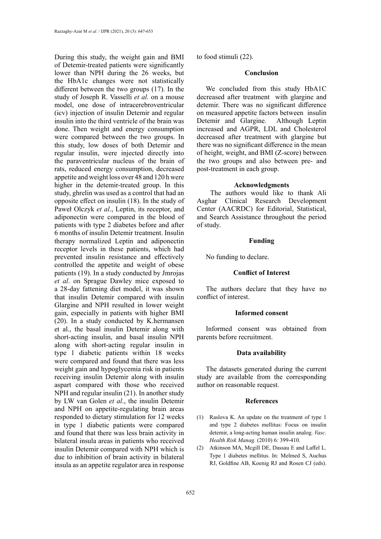During this study, the weight gain and BMI of Detemir-treated patients were significantly lower than NPH during the 26 weeks, but the HbA1c changes were not statistically different between the two groups (17). In the study of Joseph R. Vasselli *et al.* on a mouse model, one dose of intracerebroventricular (icv) injection of insulin Detemir and regular insulin into the third ventricle of the brain was done. Then weight and energy consumption were compared between the two groups. In this study, low doses of both Detemir and regular insulin, were injected directly into the paraventricular nucleus of the brain of rats, reduced energy consumption, decreased appetite and weight loss over 48 and 120 h were higher in the detemir-treated group. In this study, ghrelin was used as a control that had an opposite effect on insulin (18). In the study of Paweł Olczyk *et al*., Leptin, its receptor, and adiponectin were compared in the blood of patients with type 2 diabetes before and after 6 months of insulin Detemir treatment. Insulin therapy normalized Leptin and adiponectin receptor levels in these patients, which had prevented insulin resistance and effectively controlled the appetite and weight of obese patients (19). In a study conducted by Jmrojas *et al*. on Sprague Dawley mice exposed to a 28-day fattening diet model, it was shown that insulin Detemir compared with insulin Glargine and NPH resulted in lower weight gain, especially in patients with higher BMI (20). In a study conducted by K.hermansen et al., the basal insulin Detemir along with short-acting insulin, and basal insulin NPH along with short-acting regular insulin in type 1 diabetic patients within 18 weeks were compared and found that there was less weight gain and hypoglycemia risk in patients receiving insulin Detemir along with insulin aspart compared with those who received NPH and regular insulin (21). In another study by LW van Golen *et al*., the insulin Detemir and NPH on appetite-regulating brain areas responded to dietary stimulation for 12 weeks in type 1 diabetic patients were compared and found that there was less brain activity in bilateral insula areas in patients who received insulin Detemir compared with NPH which is due to inhibition of brain activity in bilateral insula as an appetite regulator area in response

to food stimuli (22).

### **Conclusion**

We concluded from this study HbA1C decreased after treatment with glargine and detemir. There was no significant difference on measured appetite factors between insulin Detemir and Glargine. Although Leptin increased and AGPR, LDL and Cholesterol decreased after treatment with glargine but there was no significant difference in the mean of height, weight, and BMI (Z-score) between the two groups and also between pre- and post-treatment in each group.

# **Acknowledgments**

 The authors would like to thank Ali Asghar Clinical Research Development Center (AACRDC) for Editorial, Statistical, and Search Assistance throughout the period of study.

### **Funding**

No funding to declare.

#### **Conflict of Interest**

The authors declare that they have no conflict of interest.

### **Informed consent**

Informed consent was obtained from parents before recruitment.

### **Data availability**

The datasets generated during the current study are available from the corresponding author on reasonable request.

#### **References**

- (1) Raslova K. An update on the treatment of type 1 and type 2 diabetes mellitus: Focus on insulin detemir, a long-acting human insulin analog. *Vasc. Health Risk Manag.* (2010) 6: 399-410.
- (2) Atkinson MA, Mcgill DE, Dassau E and Laffel L. Type 1 diabetes mellitus. In: Melmed S, Auchus RJ, Goldfine AB, Koenig RJ and Rosen CJ (eds).